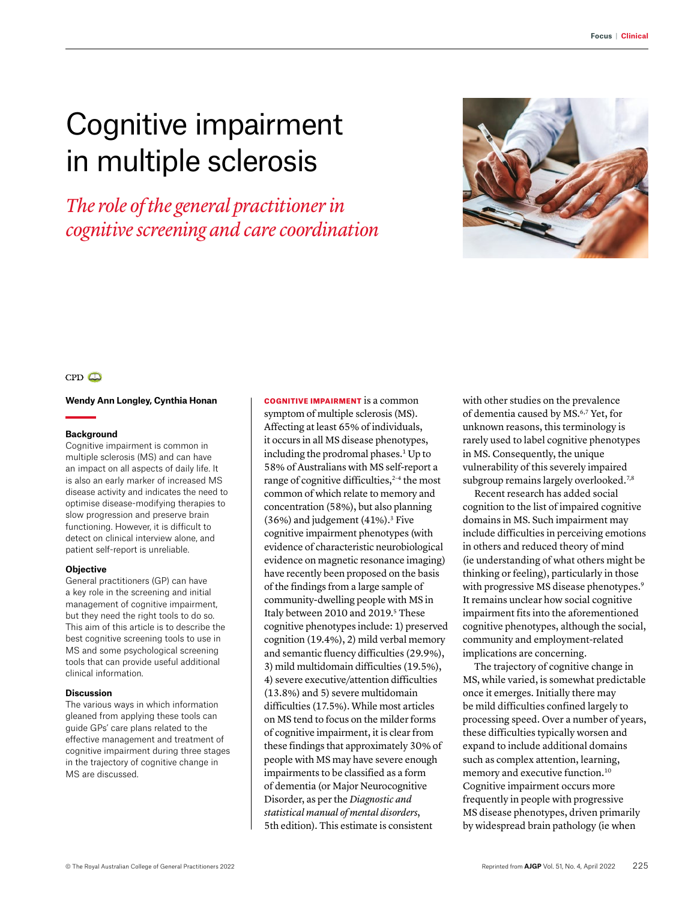# Cognitive impairment in multiple sclerosis

*The role of the general practitioner in cognitive screening and care coordination*



# $CPD$

### **Wendy Ann Longley, Cynthia Honan**

#### **Background**

Cognitive impairment is common in multiple sclerosis (MS) and can have an impact on all aspects of daily life. It is also an early marker of increased MS disease activity and indicates the need to optimise disease-modifying therapies to slow progression and preserve brain functioning. However, it is difficult to detect on clinical interview alone, and patient self-report is unreliable.

### **Objective**

General practitioners (GP) can have a key role in the screening and initial management of cognitive impairment, but they need the right tools to do so. This aim of this article is to describe the best cognitive screening tools to use in MS and some psychological screening tools that can provide useful additional clinical information.

## **Discussion**

The various ways in which information gleaned from applying these tools can guide GPs' care plans related to the effective management and treatment of cognitive impairment during three stages in the trajectory of cognitive change in MS are discussed.

COGNITIVE IMPAIRMENT is a common

symptom of multiple sclerosis (MS). Affecting at least 65% of individuals, it occurs in all MS disease phenotypes, including the prodromal phases.<sup>1</sup> Up to 58% of Australians with MS self-report a range of cognitive difficulties,<sup>2-4</sup> the most common of which relate to memory and concentration (58%), but also planning  $(36%)$  and judgement  $(41%)$ .<sup>3</sup> Five cognitive impairment phenotypes (with evidence of characteristic neurobiological evidence on magnetic resonance imaging) have recently been proposed on the basis of the findings from a large sample of community-dwelling people with MS in Italy between 2010 and 2019.<sup>5</sup> These cognitive phenotypes include: 1) preserved cognition (19.4%), 2) mild verbal memory and semantic fluency difficulties (29.9%), 3) mild multidomain difficulties (19.5%), 4) severe executive/attention difficulties (13.8%) and 5) severe multidomain difficulties (17.5%). While most articles on MS tend to focus on the milder forms of cognitive impairment, it is clear from these findings that approximately 30% of people with MS may have severe enough impairments to be classified as a form of dementia (or Major Neurocognitive Disorder, as per the *Diagnostic and statistical manual of mental disorders*, 5th edition). This estimate is consistent

with other studies on the prevalence of dementia caused by MS.6,7 Yet, for unknown reasons, this terminology is rarely used to label cognitive phenotypes in MS. Consequently, the unique vulnerability of this severely impaired subgroup remains largely overlooked.<sup>7,8</sup>

Recent research has added social cognition to the list of impaired cognitive domains in MS. Such impairment may include difficulties in perceiving emotions in others and reduced theory of mind (ie understanding of what others might be thinking or feeling), particularly in those with progressive MS disease phenotypes.<sup>9</sup> It remains unclear how social cognitive impairment fits into the aforementioned cognitive phenotypes, although the social, community and employment-related implications are concerning.

The trajectory of cognitive change in MS, while varied, is somewhat predictable once it emerges. Initially there may be mild difficulties confined largely to processing speed. Over a number of years, these difficulties typically worsen and expand to include additional domains such as complex attention, learning, memory and executive function.10 Cognitive impairment occurs more frequently in people with progressive MS disease phenotypes, driven primarily by widespread brain pathology (ie when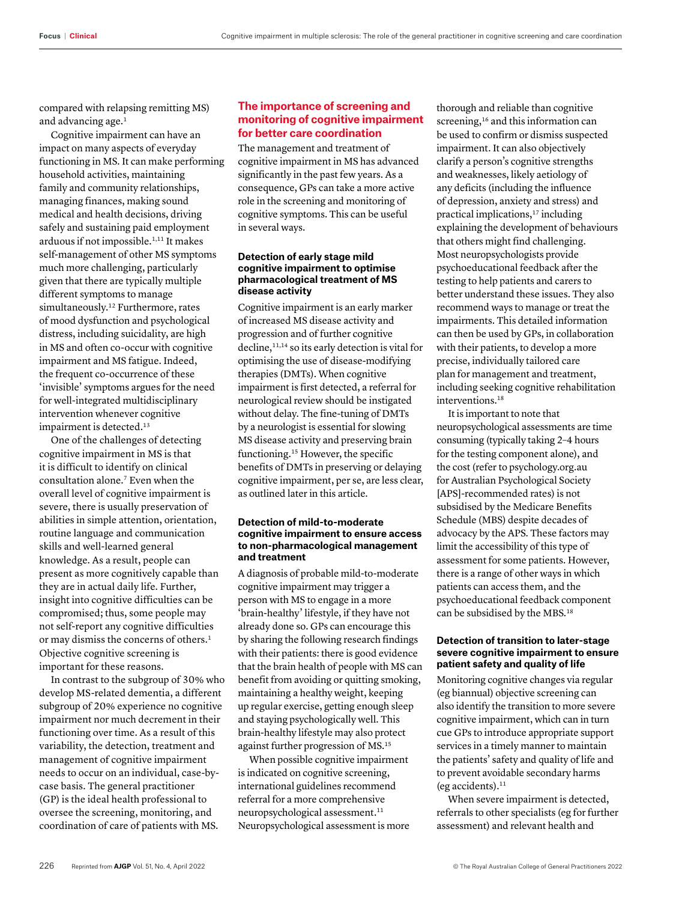compared with relapsing remitting MS) and advancing age.<sup>1</sup>

Cognitive impairment can have an impact on many aspects of everyday functioning in MS. It can make performing household activities, maintaining family and community relationships, managing finances, making sound medical and health decisions, driving safely and sustaining paid employment arduous if not impossible.1,11 It makes self-management of other MS symptoms much more challenging, particularly given that there are typically multiple different symptoms to manage simultaneously.<sup>12</sup> Furthermore, rates of mood dysfunction and psychological distress, including suicidality, are high in MS and often co-occur with cognitive impairment and MS fatigue. Indeed, the frequent co-occurrence of these 'invisible' symptoms argues for the need for well-integrated multidisciplinary intervention whenever cognitive impairment is detected.<sup>13</sup>

One of the challenges of detecting cognitive impairment in MS is that it is difficult to identify on clinical consultation alone.7 Even when the overall level of cognitive impairment is severe, there is usually preservation of abilities in simple attention, orientation, routine language and communication skills and well-learned general knowledge. As a result, people can present as more cognitively capable than they are in actual daily life. Further, insight into cognitive difficulties can be compromised; thus, some people may not self-report any cognitive difficulties or may dismiss the concerns of others.1 Objective cognitive screening is important for these reasons.

In contrast to the subgroup of 30% who develop MS-related dementia, a different subgroup of 20% experience no cognitive impairment nor much decrement in their functioning over time. As a result of this variability, the detection, treatment and management of cognitive impairment needs to occur on an individual, case-bycase basis. The general practitioner (GP) is the ideal health professional to oversee the screening, monitoring, and coordination of care of patients with MS.

# **The importance of screening and monitoring of cognitive impairment for better care coordination**

The management and treatment of cognitive impairment in MS has advanced significantly in the past few years. As a consequence, GPs can take a more active role in the screening and monitoring of cognitive symptoms. This can be useful in several ways.

# **Detection of early stage mild cognitive impairment to optimise pharmacological treatment of MS disease activity**

Cognitive impairment is an early marker of increased MS disease activity and progression and of further cognitive decline,<sup>11,14</sup> so its early detection is vital for optimising the use of disease-modifying therapies (DMTs). When cognitive impairment is first detected, a referral for neurological review should be instigated without delay. The fine-tuning of DMTs by a neurologist is essential for slowing MS disease activity and preserving brain functioning.15 However, the specific benefits of DMTs in preserving or delaying cognitive impairment, per se, are less clear, as outlined later in this article.

# **Detection of mild-to-moderate cognitive impairment to ensure access to non-pharmacological management and treatment**

A diagnosis of probable mild-to-moderate cognitive impairment may trigger a person with MS to engage in a more 'brain-healthy' lifestyle, if they have not already done so. GPs can encourage this by sharing the following research findings with their patients: there is good evidence that the brain health of people with MS can benefit from avoiding or quitting smoking, maintaining a healthy weight, keeping up regular exercise, getting enough sleep and staying psychologically well. This brain-healthy lifestyle may also protect against further progression of MS.15

When possible cognitive impairment is indicated on cognitive screening, international guidelines recommend referral for a more comprehensive neuropsychological assessment.11 Neuropsychological assessment is more thorough and reliable than cognitive screening,<sup>16</sup> and this information can be used to confirm or dismiss suspected impairment. It can also objectively clarify a person's cognitive strengths and weaknesses, likely aetiology of any deficits (including the influence of depression, anxiety and stress) and practical implications,<sup>17</sup> including explaining the development of behaviours that others might find challenging. Most neuropsychologists provide psychoeducational feedback after the testing to help patients and carers to better understand these issues. They also recommend ways to manage or treat the impairments. This detailed information can then be used by GPs, in collaboration with their patients, to develop a more precise, individually tailored care plan for management and treatment, including seeking cognitive rehabilitation interventions.<sup>18</sup>

It is important to note that neuropsychological assessments are time consuming (typically taking 2–4 hours for the testing component alone), and the cost (refer to [psychology.org.au](https://www.psychology.org.au/for-the-public/about-psychology/what-it-costs) for Australian Psychological Society [APS]-recommended rates) is not subsidised by the Medicare Benefits Schedule (MBS) despite decades of advocacy by the APS. These factors may limit the accessibility of this type of assessment for some patients. However, there is a range of other ways in which patients can access them, and the psychoeducational feedback component can be subsidised by the MBS.<sup>18</sup>

## **Detection of transition to later-stage severe cognitive impairment to ensure patient safety and quality of life**

Monitoring cognitive changes via regular (eg biannual) objective screening can also identify the transition to more severe cognitive impairment, which can in turn cue GPs to introduce appropriate support services in a timely manner to maintain the patients' safety and quality of life and to prevent avoidable secondary harms (eg accidents). $11$ 

When severe impairment is detected, referrals to other specialists (eg for further assessment) and relevant health and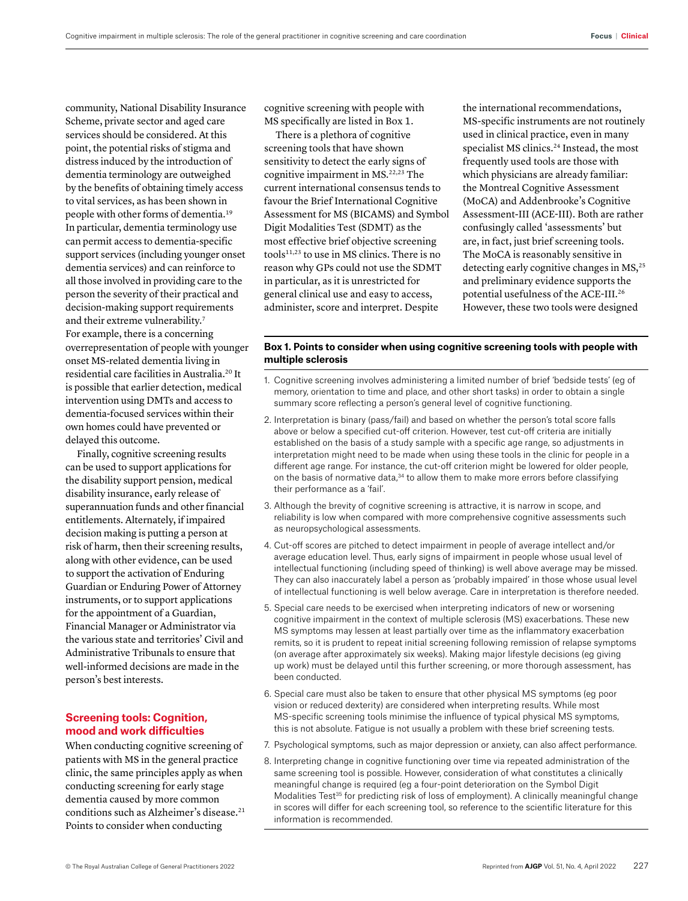community, National Disability Insurance Scheme, private sector and aged care services should be considered. At this point, the potential risks of stigma and distress induced by the introduction of dementia terminology are outweighed by the benefits of obtaining timely access to vital services, as has been shown in people with other forms of dementia.19 In particular, dementia terminology use can permit access to dementia-specific support services (including younger onset dementia services) and can reinforce to all those involved in providing care to the person the severity of their practical and decision-making support requirements and their extreme vulnerability.<sup>7</sup> For example, there is a concerning overrepresentation of people with younger onset MS-related dementia living in residential care facilities in Australia.20 It is possible that earlier detection, medical intervention using DMTs and access to dementia-focused services within their own homes could have prevented or delayed this outcome.

Finally, cognitive screening results can be used to support applications for the disability support pension, medical disability insurance, early release of superannuation funds and other financial entitlements. Alternately, if impaired decision making is putting a person at risk of harm, then their screening results, along with other evidence, can be used to support the activation of Enduring Guardian or Enduring Power of Attorney instruments, or to support applications for the appointment of a Guardian, Financial Manager or Administrator via the various state and territories' Civil and Administrative Tribunals to ensure that well-informed decisions are made in the person's best interests.

# **Screening tools: Cognition, mood and work difficulties**

When conducting cognitive screening of patients with MS in the general practice clinic, the same principles apply as when conducting screening for early stage dementia caused by more common conditions such as Alzheimer's disease.<sup>21</sup> Points to consider when conducting

cognitive screening with people with MS specifically are listed in Box 1.

There is a plethora of cognitive screening tools that have shown sensitivity to detect the early signs of cognitive impairment in MS.<sup>22,23</sup> The current international consensus tends to favour the Brief International Cognitive Assessment for MS (BICAMS) and Symbol Digit Modalities Test (SDMT) as the most effective brief objective screening tools<sup>11,23</sup> to use in MS clinics. There is no reason why GPs could not use the SDMT in particular, as it is unrestricted for general clinical use and easy to access, administer, score and interpret. Despite

the international recommendations, MS-specific instruments are not routinely used in clinical practice, even in many specialist MS clinics.<sup>24</sup> Instead, the most frequently used tools are those with which physicians are already familiar: the Montreal Cognitive Assessment (MoCA) and Addenbrooke's Cognitive Assessment-III (ACE-III). Both are rather confusingly called 'assessments' but are, in fact, just brief screening tools. The MoCA is reasonably sensitive in detecting early cognitive changes in MS,<sup>25</sup> and preliminary evidence supports the potential usefulness of the ACE-III.26 However, these two tools were designed

# **Box 1. Points to consider when using cognitive screening tools with people with multiple sclerosis**

- 1. Cognitive screening involves administering a limited number of brief 'bedside tests' (eg of memory, orientation to time and place, and other short tasks) in order to obtain a single summary score reflecting a person's general level of cognitive functioning.
- 2. Interpretation is binary (pass/fail) and based on whether the person's total score falls above or below a specified cut-off criterion. However, test cut-off criteria are initially established on the basis of a study sample with a specific age range, so adjustments in interpretation might need to be made when using these tools in the clinic for people in a different age range. For instance, the cut-off criterion might be lowered for older people, on the basis of normative data,<sup>34</sup> to allow them to make more errors before classifying their performance as a 'fail'.
- 3. Although the brevity of cognitive screening is attractive, it is narrow in scope, and reliability is low when compared with more comprehensive cognitive assessments such as neuropsychological assessments.
- 4. Cut-off scores are pitched to detect impairment in people of average intellect and/or average education level. Thus, early signs of impairment in people whose usual level of intellectual functioning (including speed of thinking) is well above average may be missed. They can also inaccurately label a person as 'probably impaired' in those whose usual level of intellectual functioning is well below average. Care in interpretation is therefore needed.
- 5. Special care needs to be exercised when interpreting indicators of new or worsening cognitive impairment in the context of multiple sclerosis (MS) exacerbations. These new MS symptoms may lessen at least partially over time as the inflammatory exacerbation remits, so it is prudent to repeat initial screening following remission of relapse symptoms (on average after approximately six weeks). Making major lifestyle decisions (eg giving up work) must be delayed until this further screening, or more thorough assessment, has been conducted.
- 6. Special care must also be taken to ensure that other physical MS symptoms (eg poor vision or reduced dexterity) are considered when interpreting results. While most MS-specific screening tools minimise the influence of typical physical MS symptoms, this is not absolute. Fatigue is not usually a problem with these brief screening tests.
- 7. Psychological symptoms, such as major depression or anxiety, can also affect performance.
- 8. Interpreting change in cognitive functioning over time via repeated administration of the same screening tool is possible. However, consideration of what constitutes a clinically meaningful change is required (eg a four-point deterioration on the Symbol Digit Modalities Test<sup>35</sup> for predicting risk of loss of employment). A clinically meaningful change in scores will differ for each screening tool, so reference to the scientific literature for this information is recommended.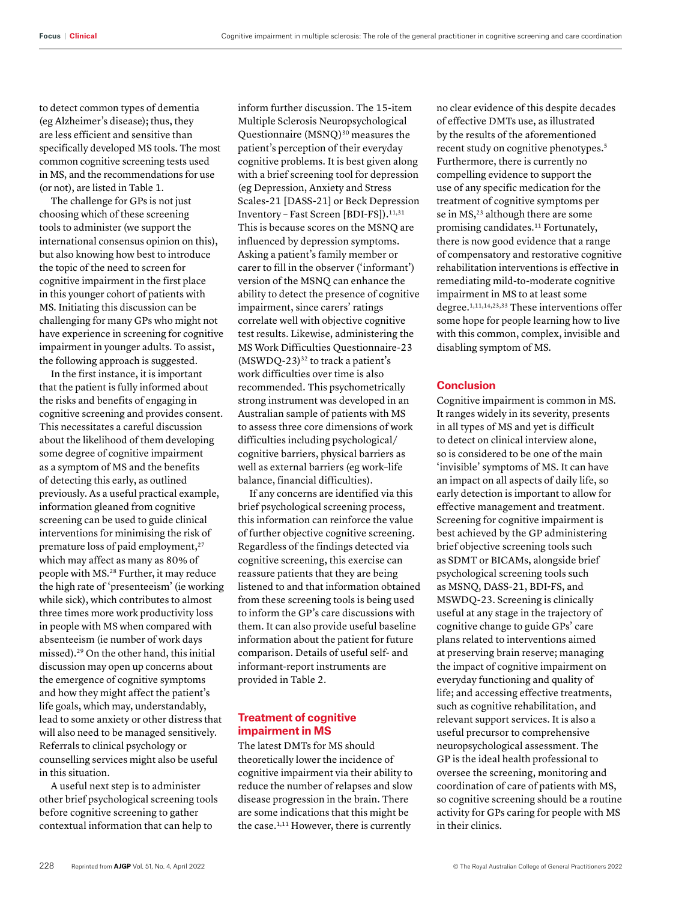to detect common types of dementia (eg Alzheimer's disease); thus, they are less efficient and sensitive than specifically developed MS tools. The most common cognitive screening tests used in MS, and the recommendations for use (or not), are listed in Table 1.

The challenge for GPs is not just choosing which of these screening tools to administer (we support the international consensus opinion on this), but also knowing how best to introduce the topic of the need to screen for cognitive impairment in the first place in this younger cohort of patients with MS. Initiating this discussion can be challenging for many GPs who might not have experience in screening for cognitive impairment in younger adults. To assist, the following approach is suggested.

In the first instance, it is important that the patient is fully informed about the risks and benefits of engaging in cognitive screening and provides consent. This necessitates a careful discussion about the likelihood of them developing some degree of cognitive impairment as a symptom of MS and the benefits of detecting this early, as outlined previously. As a useful practical example, information gleaned from cognitive screening can be used to guide clinical interventions for minimising the risk of premature loss of paid employment,<sup>27</sup> which may affect as many as 80% of people with MS.28 Further, it may reduce the high rate of 'presenteeism' (ie working while sick), which contributes to almost three times more work productivity loss in people with MS when compared with absenteeism (ie number of work days missed).29 On the other hand, this initial discussion may open up concerns about the emergence of cognitive symptoms and how they might affect the patient's life goals, which may, understandably, lead to some anxiety or other distress that will also need to be managed sensitively. Referrals to clinical psychology or counselling services might also be useful in this situation.

A useful next step is to administer other brief psychological screening tools before cognitive screening to gather contextual information that can help to

inform further discussion. The 15-item Multiple Sclerosis Neuropsychological Questionnaire (MSNQ)<sup>30</sup> measures the patient's perception of their everyday cognitive problems. It is best given along with a brief screening tool for depression (eg Depression, Anxiety and Stress Scales-21 [DASS-21] or Beck Depression Inventory – Fast Screen [BDI-FS]).<sup>11,31</sup> This is because scores on the MSNQ are influenced by depression symptoms. Asking a patient's family member or carer to fill in the observer ('informant') version of the MSNQ can enhance the ability to detect the presence of cognitive impairment, since carers' ratings correlate well with objective cognitive test results. Likewise, administering the MS Work Difficulties Questionnaire-23  $(MSWDQ-23)^{32}$  to track a patient's work difficulties over time is also recommended. This psychometrically strong instrument was developed in an Australian sample of patients with MS to assess three core dimensions of work difficulties including psychological/ cognitive barriers, physical barriers as well as external barriers (eg work–life balance, financial difficulties).

If any concerns are identified via this brief psychological screening process, this information can reinforce the value of further objective cognitive screening. Regardless of the findings detected via cognitive screening, this exercise can reassure patients that they are being listened to and that information obtained from these screening tools is being used to inform the GP's care discussions with them. It can also provide useful baseline information about the patient for future comparison. Details of useful self- and informant-report instruments are provided in Table 2.

# **Treatment of cognitive impairment in MS**

The latest DMTs for MS should theoretically lower the incidence of cognitive impairment via their ability to reduce the number of relapses and slow disease progression in the brain. There are some indications that this might be the case.<sup>1,11</sup> However, there is currently no clear evidence of this despite decades of effective DMTs use, as illustrated by the results of the aforementioned recent study on cognitive phenotypes.5 Furthermore, there is currently no compelling evidence to support the use of any specific medication for the treatment of cognitive symptoms per se in MS,<sup>23</sup> although there are some promising candidates.<sup>11</sup> Fortunately, there is now good evidence that a range of compensatory and restorative cognitive rehabilitation interventions is effective in remediating mild-to-moderate cognitive impairment in MS to at least some degree.1,11,14,23,33 These interventions offer some hope for people learning how to live with this common, complex, invisible and disabling symptom of MS.

## **Conclusion**

Cognitive impairment is common in MS. It ranges widely in its severity, presents in all types of MS and yet is difficult to detect on clinical interview alone, so is considered to be one of the main 'invisible' symptoms of MS. It can have an impact on all aspects of daily life, so early detection is important to allow for effective management and treatment. Screening for cognitive impairment is best achieved by the GP administering brief objective screening tools such as SDMT or BICAMs, alongside brief psychological screening tools such as MSNQ, DASS-21, BDI-FS, and MSWDQ-23. Screening is clinically useful at any stage in the trajectory of cognitive change to guide GPs' care plans related to interventions aimed at preserving brain reserve; managing the impact of cognitive impairment on everyday functioning and quality of life; and accessing effective treatments, such as cognitive rehabilitation, and relevant support services. It is also a useful precursor to comprehensive neuropsychological assessment. The GP is the ideal health professional to oversee the screening, monitoring and coordination of care of patients with MS, so cognitive screening should be a routine activity for GPs caring for people with MS in their clinics.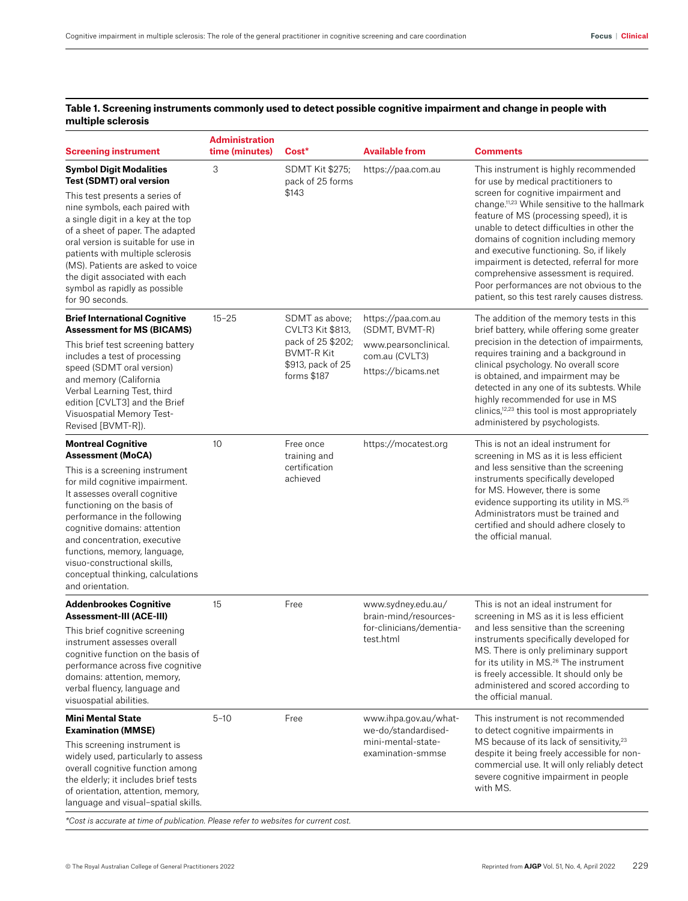# **Table 1. Screening instruments commonly used to detect possible cognitive impairment and change in people with multiple sclerosis**

| <b>Screening instrument</b>                                                                                                                                                                                                                                                                                                                                                                                           | <b>Administration</b><br>time (minutes) | Cost*                                                                                                     | <b>Available from</b>                                                                                | Comments                                                                                                                                                                                                                                                                                                                                                                                                                                                                                                                                         |
|-----------------------------------------------------------------------------------------------------------------------------------------------------------------------------------------------------------------------------------------------------------------------------------------------------------------------------------------------------------------------------------------------------------------------|-----------------------------------------|-----------------------------------------------------------------------------------------------------------|------------------------------------------------------------------------------------------------------|--------------------------------------------------------------------------------------------------------------------------------------------------------------------------------------------------------------------------------------------------------------------------------------------------------------------------------------------------------------------------------------------------------------------------------------------------------------------------------------------------------------------------------------------------|
| <b>Symbol Digit Modalities</b><br><b>Test (SDMT) oral version</b><br>This test presents a series of<br>nine symbols, each paired with<br>a single digit in a key at the top<br>of a sheet of paper. The adapted<br>oral version is suitable for use in<br>patients with multiple sclerosis<br>(MS). Patients are asked to voice<br>the digit associated with each<br>symbol as rapidly as possible<br>for 90 seconds. | 3                                       | <b>SDMT Kit \$275;</b><br>pack of 25 forms<br>\$143                                                       | https://paa.com.au                                                                                   | This instrument is highly recommended<br>for use by medical practitioners to<br>screen for cognitive impairment and<br>change. <sup>11,23</sup> While sensitive to the hallmark<br>feature of MS (processing speed), it is<br>unable to detect difficulties in other the<br>domains of cognition including memory<br>and executive functioning. So, if likely<br>impairment is detected, referral for more<br>comprehensive assessment is required.<br>Poor performances are not obvious to the<br>patient, so this test rarely causes distress. |
| <b>Brief International Cognitive</b><br><b>Assessment for MS (BICAMS)</b><br>This brief test screening battery<br>includes a test of processing<br>speed (SDMT oral version)<br>and memory (California<br>Verbal Learning Test, third<br>edition [CVLT3] and the Brief<br>Visuospatial Memory Test-<br>Revised [BVMT-R]).                                                                                             | $15 - 25$                               | SDMT as above;<br>CVLT3 Kit \$813,<br>pack of 25 \$202;<br>BVMT-R Kit<br>\$913, pack of 25<br>forms \$187 | https://paa.com.au<br>(SDMT, BVMT-R)<br>www.pearsonclinical.<br>com.au (CVLT3)<br>https://bicams.net | The addition of the memory tests in this<br>brief battery, while offering some greater<br>precision in the detection of impairments,<br>requires training and a background in<br>clinical psychology. No overall score<br>is obtained, and impairment may be<br>detected in any one of its subtests. While<br>highly recommended for use in MS<br>clinics, <sup>12,23</sup> this tool is most appropriately<br>administered by psychologists.                                                                                                    |
| <b>Montreal Cognitive</b><br><b>Assessment (MoCA)</b><br>This is a screening instrument<br>for mild cognitive impairment.<br>It assesses overall cognitive<br>functioning on the basis of<br>performance in the following<br>cognitive domains: attention<br>and concentration, executive<br>functions, memory, language,<br>visuo-constructional skills,<br>conceptual thinking, calculations<br>and orientation.    | 10                                      | Free once<br>training and<br>certification<br>achieved                                                    | https://mocatest.org                                                                                 | This is not an ideal instrument for<br>screening in MS as it is less efficient<br>and less sensitive than the screening<br>instruments specifically developed<br>for MS. However, there is some<br>evidence supporting its utility in MS. <sup>25</sup><br>Administrators must be trained and<br>certified and should adhere closely to<br>the official manual.                                                                                                                                                                                  |
| <b>Addenbrookes Cognitive</b><br><b>Assessment-III (ACE-III)</b><br>This brief cognitive screening<br>instrument assesses overall<br>cognitive function on the basis of<br>performance across five cognitive<br>domains: attention, memory,<br>verbal fluency, language and<br>visuospatial abilities.                                                                                                                | 15                                      | Free                                                                                                      | www.sydney.edu.au/<br>brain-mind/resources-<br>for-clinicians/dementia-<br>test.html                 | This is not an ideal instrument for<br>screening in MS as it is less efficient<br>and less sensitive than the screening<br>instruments specifically developed for<br>MS. There is only preliminary support<br>for its utility in MS. <sup>26</sup> The instrument<br>is freely accessible. It should only be<br>administered and scored according to<br>the official manual.                                                                                                                                                                     |
| <b>Mini Mental State</b><br><b>Examination (MMSE)</b><br>This screening instrument is<br>widely used, particularly to assess<br>overall cognitive function among<br>the elderly; it includes brief tests<br>of orientation, attention, memory,<br>language and visual-spatial skills.                                                                                                                                 | $5 - 10$                                | Free                                                                                                      | www.ihpa.gov.au/what-<br>we-do/standardised-<br>mini-mental-state-<br>examination-smmse              | This instrument is not recommended<br>to detect cognitive impairments in<br>MS because of its lack of sensitivity, <sup>23</sup><br>despite it being freely accessible for non-<br>commercial use. It will only reliably detect<br>severe cognitive impairment in people<br>with MS.                                                                                                                                                                                                                                                             |

*\*Cost is accurate at time of publication. Please refer to websites for current cost.*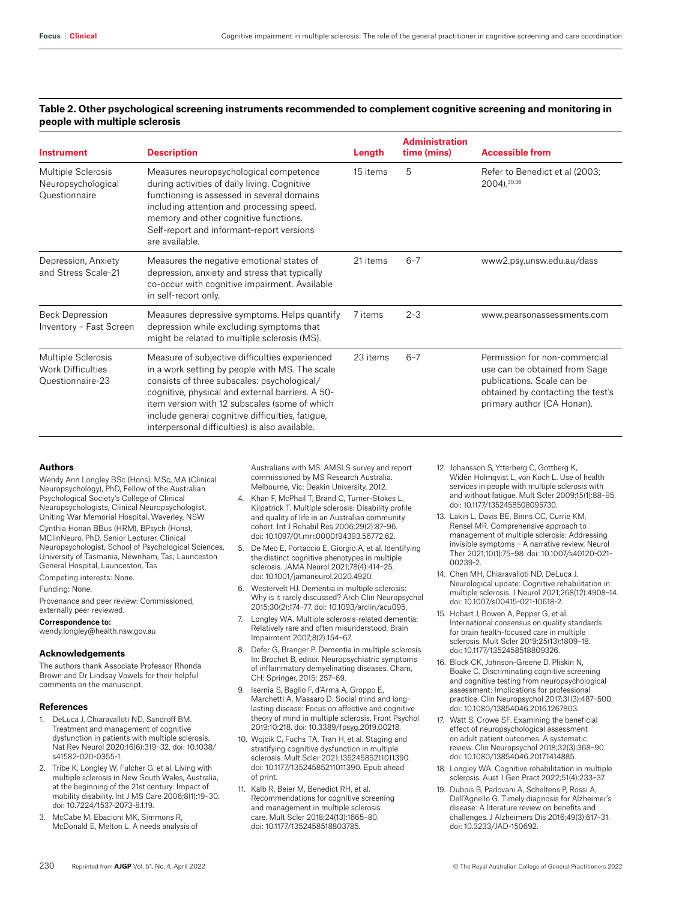## **Table 2. Other psychological screening instruments recommended to complement cognitive screening and monitoring in people with multiple sclerosis**

| <b>Instrument</b>                                                                                                                                                                                                                                                                                                                                                                                                                | <b>Description</b>                                                                                                                                                                                                                                                                        | Length   | <b>Administration</b><br>time (mins) | <b>Accessible from</b>                                                                                                                                          |
|----------------------------------------------------------------------------------------------------------------------------------------------------------------------------------------------------------------------------------------------------------------------------------------------------------------------------------------------------------------------------------------------------------------------------------|-------------------------------------------------------------------------------------------------------------------------------------------------------------------------------------------------------------------------------------------------------------------------------------------|----------|--------------------------------------|-----------------------------------------------------------------------------------------------------------------------------------------------------------------|
| Multiple Sclerosis<br>Neuropsychological<br>Questionnaire                                                                                                                                                                                                                                                                                                                                                                        | Measures neuropsychological competence<br>during activities of daily living. Cognitive<br>functioning is assessed in several domains<br>including attention and processing speed,<br>memory and other cognitive functions.<br>Self-report and informant-report versions<br>are available. | 15 items | 5                                    | Refer to Benedict et al (2003;<br>2004). 30, 36                                                                                                                 |
| Depression, Anxiety<br>and Stress Scale-21                                                                                                                                                                                                                                                                                                                                                                                       | Measures the negative emotional states of<br>depression, anxiety and stress that typically<br>co-occur with cognitive impairment. Available<br>in self-report only.                                                                                                                       | 21 items | $6 - 7$                              | www2.psy.unsw.edu.au/dass                                                                                                                                       |
| <b>Beck Depression</b><br>Inventory - Fast Screen                                                                                                                                                                                                                                                                                                                                                                                | Measures depressive symptoms. Helps quantify<br>depression while excluding symptoms that<br>might be related to multiple sclerosis (MS).                                                                                                                                                  | 7 items  | $2 - 3$                              | www.pearsonassessments.com                                                                                                                                      |
| Multiple Sclerosis<br>Measure of subjective difficulties experienced<br><b>Work Difficulties</b><br>in a work setting by people with MS. The scale<br>Questionnaire-23<br>consists of three subscales: psychological/<br>cognitive, physical and external barriers. A 50-<br>item version with 12 subscales (some of which<br>include general cognitive difficulties, fatigue,<br>interpersonal difficulties) is also available. |                                                                                                                                                                                                                                                                                           | 23 items | $6 - 7$                              | Permission for non-commercial<br>use can be obtained from Sage<br>publications. Scale can be<br>obtained by contacting the test's<br>primary author (CA Honan). |

## **Authors**

Wendy Ann Longley BSc (Hons), MSc, MA (Clinical Neuropsychology), PhD, Fellow of the Australian Psychological Society's College of Clinical Neuropsychologists, Clinical Neuropsychologist, Uniting War Memorial Hospital, Waverley, NSW

Cynthia Honan BBus (HRM), BPsych (Hons), MClinNeuro, PhD, Senior Lecturer, Clinical Neuropsychologist, School of Psychological Sciences, University of Tasmania, Newnham, Tas; Launceston General Hospital, Launceston, Tas

Competing interests: None.

Funding: None.

Provenance and peer review: Commissioned, externally peer reviewed.

Correspondence to:

wendy.longley@health.nsw.gov.au

#### **Acknowledgements**

The authors thank Associate Professor Rhonda Brown and Dr Lindsay Vowels for their helpful comments on the manuscript.

#### **References**

- 1. DeLuca J, Chiaravalloti ND, Sandroff BM. Treatment and management of cognitive dysfunction in patients with multiple sclerosis. Nat Rev Neurol 2020;16(6):319–32. doi: 10.1038/ s41582-020-0355-1.
- 2. Tribe K, Longley W, Fulcher G, et al. Living with multiple sclerosis in New South Wales, Australia, at the beginning of the 21st century: Impact of mobility disability. Int J MS Care 2006;8(1):19–30. doi: 10.7224/1537-2073-8.1.19.
- 3. McCabe M, Ebacioni MK, Simmons R, McDonald E, Melton L. A needs analysis of

Australians with MS. AMSLS survey and report commissioned by MS Research Australia. Melbourne, Vic: Deakin University, 2012.

- 4. Khan F, McPhail T, Brand C, Turner-Stokes L, Kilpatrick T. Multiple sclerosis: Disability profile and quality of life in an Australian community cohort. Int J Rehabil Res 2006;29(2):87–96. doi: 10.1097/01.mrr.0000194393.56772.62.
- 5. De Meo E, Portaccio E, Giorgio A, et al. Identifying the distinct cognitive phenotypes in multiple sclerosis. JAMA Neurol 2021;78(4):414–25. doi: 10.1001/jamaneurol.2020.4920.
- 6. Westervelt HJ. Dementia in multiple sclerosis: Why is it rarely discussed? Arch Clin Neuropsychol 2015;30(2):174–77. doi: 10.1093/arclin/acu095.
- 7. Longley WA. Multiple sclerosis-related dementia: Relatively rare and often misunderstood. Brain Impairment 2007;8(2):154–67.
- 8. Defer G, Branger P. Dementia in multiple sclerosis. In: Brochet B, editor. Neuropsychiatric symptoms of inflammatory demyelinating diseases. Cham, CH: Springer, 2015; 257–69.
- 9. Isernia S, Baglio F, d'Arma A, Groppo E, Marchetti A, Massaro D. Social mind and longlasting disease: Focus on affective and cognitive theory of mind in multiple sclerosis. Front Psychol 2019;10:218. doi: 10.3389/fpsyg.2019.00218.
- 10. Wojcik C, Fuchs TA, Tran H, et al. Staging and stratifying cognitive dysfunction in multiple sclerosis. Mult Scler 2021:13524585211011390. doi: 10.1177/13524585211011390. Epub ahead of print.
- 11. Kalb R, Beier M, Benedict RH, et al. Recommendations for cognitive screening and management in multiple sclerosis care. Mult Scler 2018;24(13):1665–80. doi: 10.1177/1352458518803785.
- 12. Johansson S, Ytterberg C, Gottberg K, Widén Holmqvist L, von Koch L. Use of health services in people with multiple sclerosis with and without fatigue. Mult Scler 2009;15(1):88–95. doi: 10.1177/1352458508095730.
- 13. Lakin L, Davis BE, Binns CC, Currie KM, Rensel MR. Comprehensive approach to management of multiple sclerosis: Addressing invisible symptoms – A narrative review. Neurol Ther 2021;10(1):75–98. doi: 10.1007/s40120-021- 00239-2.
- 14. Chen MH, Chiaravalloti ND, DeLuca J. Neurological update: Cognitive rehabilitation in multiple sclerosis. J Neurol 2021;268(12):4908–14. doi: 10.1007/s00415-021-10618-2.
- 15. Hobart J, Bowen A, Pepper G, et al. International consensus on quality standards for brain health-focused care in multiple sclerosis. Mult Scler 2019;25(13):1809–18. doi: 10.1177/1352458518809326.
- 16. Block CK, Johnson-Greene D, Pliskin N, Boake C. Discriminating cognitive screening and cognitive testing from neuropsychological assessment: Implications for professional practice. Clin Neuropsychol 2017;31(3):487–500. doi: 10.1080/13854046.2016.1267803.
- 17. Watt S, Crowe SF. Examining the beneficial effect of neuropsychological assessment on adult patient outcomes: A systematic review. Clin Neuropsychol 2018;32(3):368–90. doi: 10.1080/13854046.2017.1414885.
- 18. Longley WA. Cognitive rehabilitation in multiple sclerosis. Aust J Gen Pract 2022;51(4):233–37.
- 19. Dubois B, Padovani A, Scheltens P, Rossi A, Dell'Agnello G. Timely diagnosis for Alzheimer's disease: A literature review on benefits and challenges. J Alzheimers Dis 2016;49(3):617–31. doi: 10.3233/JAD-150692.